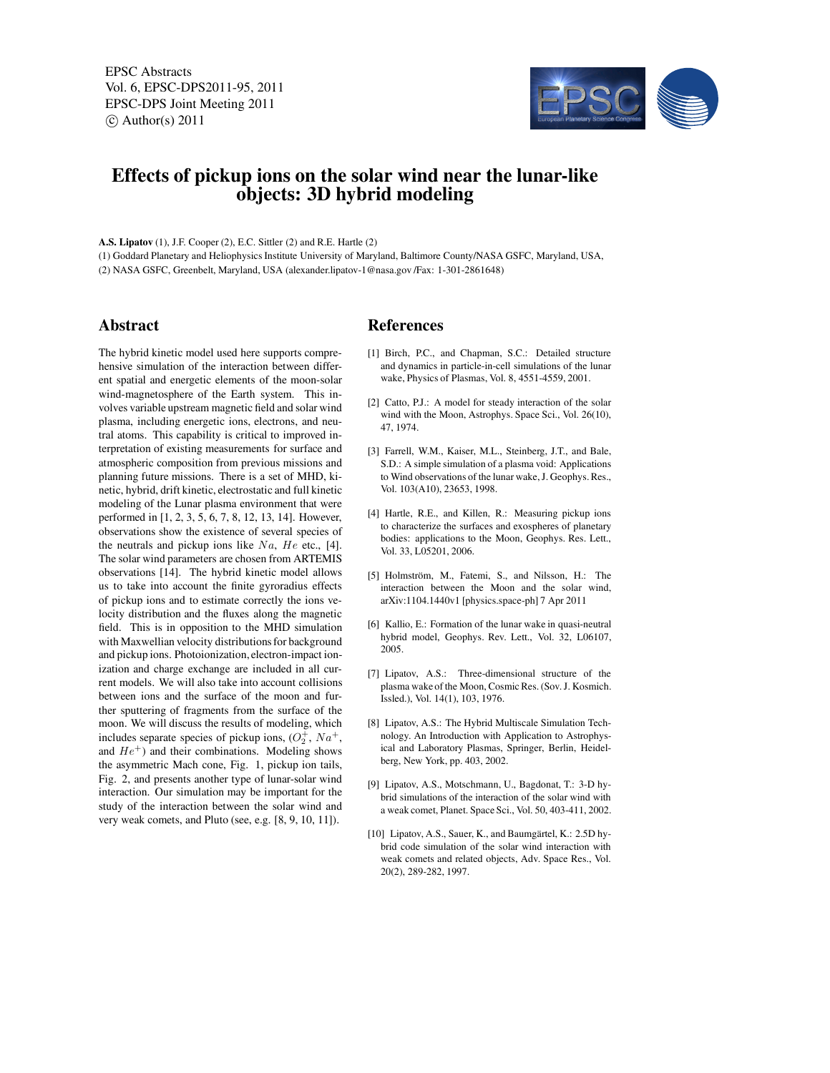EPSC Abstracts Vol. 6, EPSC-DPS2011-95, 2011 EPSC-DPS Joint Meeting 2011  $\circ$  Author(s) 2011



## **Effects of pickup ions on the solar wind near the lunar-like objects: 3D hybrid modeling**

**A.S. Lipatov** (1), J.F. Cooper (2), E.C. Sittler (2) and R.E. Hartle (2)

(1) Goddard Planetary and Heliophysics Institute University of Maryland, Baltimore County/NASA GSFC, Maryland, USA, (2) NASA GSFC, Greenbelt, Maryland, USA (alexander.lipatov-1@nasa.gov /Fax: 1-301-2861648)

## **Abstract**

The hybrid kinetic model used here supports comprehensive simulation of the interaction between different spatial and energetic elements of the moon-solar wind-magnetosphere of the Earth system. This involves variable upstream magnetic field and solar wind plasma, including energetic ions, electrons, and neutral atoms. This capability is critical to improved interpretation of existing measurements for surface and atmospheric composition from previous missions and planning future missions. There is a set of MHD, kinetic, hybrid, drift kinetic, electrostatic and full kinetic modeling of the Lunar plasma environment that were performed in [1, 2, 3, 5, 6, 7, 8, 12, 13, 14]. However, observations show the existence of several species of the neutrals and pickup ions like  $Na$ ,  $He$  etc., [4]. The solar wind parameters are chosen from ARTEMIS observations [14]. The hybrid kinetic model allows us to take into account the finite gyroradius effects of pickup ions and to estimate correctly the ions velocity distribution and the fluxes along the magnetic field. This is in opposition to the MHD simulation with Maxwellian velocity distributions for background and pickup ions. Photoionization, electron-impact ionization and charge exchange are included in all current models. We will also take into account collisions between ions and the surface of the moon and further sputtering of fragments from the surface of the moon. We will discuss the results of modeling, which includes separate species of pickup ions,  $(O_2^+, Na^+,$ and  $He<sup>+</sup>$ ) and their combinations. Modeling shows the asymmetric Mach cone, Fig. 1, pickup ion tails, Fig. 2, and presents another type of lunar-solar wind interaction. Our simulation may be important for the study of the interaction between the solar wind and very weak comets, and Pluto (see, e.g. [8, 9, 10, 11]).

## **References**

- [1] Birch, P.C., and Chapman, S.C.: Detailed structure and dynamics in particle-in-cell simulations of the lunar wake, Physics of Plasmas, Vol. 8, 4551-4559, 2001.
- [2] Catto, P.J.: A model for steady interaction of the solar wind with the Moon, Astrophys. Space Sci., Vol. 26(10), 47, 1974.
- [3] Farrell, W.M., Kaiser, M.L., Steinberg, J.T., and Bale, S.D.: A simple simulation of a plasma void: Applications to Wind observations of the lunar wake, J. Geophys. Res., Vol. 103(A10), 23653, 1998.
- [4] Hartle, R.E., and Killen, R.: Measuring pickup ions to characterize the surfaces and exospheres of planetary bodies: applications to the Moon, Geophys. Res. Lett., Vol. 33, L05201, 2006.
- [5] Holmström, M., Fatemi, S., and Nilsson, H.: The interaction between the Moon and the solar wind, arXiv:1104.1440v1 [physics.space-ph] 7 Apr 2011
- [6] Kallio, E.: Formation of the lunar wake in quasi-neutral hybrid model, Geophys. Rev. Lett., Vol. 32, L06107, 2005.
- [7] Lipatov, A.S.: Three-dimensional structure of the plasma wake of the Moon, Cosmic Res. (Sov. J. Kosmich. Issled.), Vol. 14(1), 103, 1976.
- [8] Lipatov, A.S.: The Hybrid Multiscale Simulation Technology. An Introduction with Application to Astrophysical and Laboratory Plasmas, Springer, Berlin, Heidelberg, New York, pp. 403, 2002.
- [9] Lipatov, A.S., Motschmann, U., Bagdonat, T.: 3-D hybrid simulations of the interaction of the solar wind with a weak comet, Planet. Space Sci., Vol. 50, 403-411, 2002.
- [10] Lipatov, A.S., Sauer, K., and Baumgärtel, K.: 2.5D hybrid code simulation of the solar wind interaction with weak comets and related objects, Adv. Space Res., Vol. 20(2), 289-282, 1997.